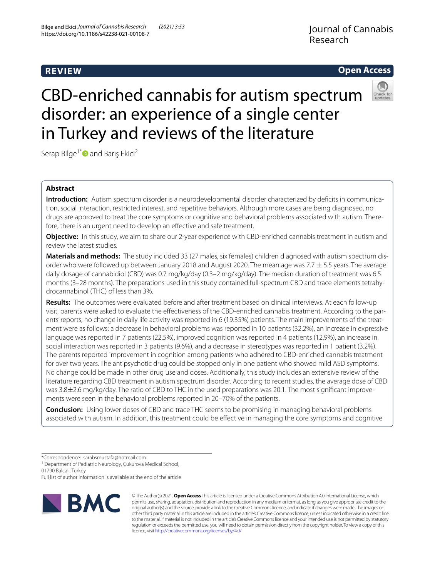## **REVIEW**

## Journal of Cannabis Research

## **Open Access**



# CBD-enriched cannabis for autism spectrum disorder: an experience of a single center in Turkey and reviews of the literature

Serap Bilge<sup>1[\\*](http://orcid.org/0000-0002-4265-3363)</sup> and Barış Ekici<sup>2</sup>

### **Abstract**

**Introduction:** Autism spectrum disorder is a neurodevelopmental disorder characterized by deficits in communication, social interaction, restricted interest, and repetitive behaviors. Although more cases are being diagnosed, no drugs are approved to treat the core symptoms or cognitive and behavioral problems associated with autism. Therefore, there is an urgent need to develop an efective and safe treatment.

**Objective:** In this study, we aim to share our 2-year experience with CBD-enriched cannabis treatment in autism and review the latest studies.

**Materials and methods:** The study included 33 (27 males, six females) children diagnosed with autism spectrum disorder who were followed up between January 2018 and August 2020. The mean age was 7.7  $\pm$  5.5 years. The average daily dosage of cannabidiol (CBD) was 0.7 mg/kg/day (0.3–2 mg/kg/day). The median duration of treatment was 6.5 months (3–28 months). The preparations used in this study contained full-spectrum CBD and trace elements tetrahydrocannabinol (THC) of less than 3%.

**Results:** The outcomes were evaluated before and after treatment based on clinical interviews. At each follow-up visit, parents were asked to evaluate the efectiveness of the CBD-enriched cannabis treatment. According to the parents' reports, no change in daily life activity was reported in 6 (19.35%) patients. The main improvements of the treatment were as follows: a decrease in behavioral problems was reported in 10 patients (32.2%), an increase in expressive language was reported in 7 patients (22.5%), improved cognition was reported in 4 patients (12,9%), an increase in social interaction was reported in 3 patients (9.6%), and a decrease in stereotypes was reported in 1 patient (3.2%). The parents reported improvement in cognition among patients who adhered to CBD-enriched cannabis treatment for over two years. The antipsychotic drug could be stopped only in one patient who showed mild ASD symptoms. No change could be made in other drug use and doses. Additionally, this study includes an extensive review of the literature regarding CBD treatment in autism spectrum disorder. According to recent studies, the average dose of CBD was 3.8±2.6 mg/kg/day. The ratio of CBD to THC in the used preparations was 20:1. The most signifcant improvements were seen in the behavioral problems reported in 20–70% of the patients.

**Conclusion:** Using lower doses of CBD and trace THC seems to be promising in managing behavioral problems associated with autism. In addition, this treatment could be efective in managing the core symptoms and cognitive

<sup>1</sup> Department of Pediatric Neurology, Çukurova Medical School,

01790 Balcalı, Turkey

Full list of author information is available at the end of the article



© The Author(s) 2021. **Open Access** This article is licensed under a Creative Commons Attribution 4.0 International License, which permits use, sharing, adaptation, distribution and reproduction in any medium or format, as long as you give appropriate credit to the original author(s) and the source, provide a link to the Creative Commons licence, and indicate if changes were made. The images or other third party material in this article are included in the article's Creative Commons licence, unless indicated otherwise in a credit line to the material. If material is not included in the article's Creative Commons licence and your intended use is not permitted by statutory regulation or exceeds the permitted use, you will need to obtain permission directly from the copyright holder. To view a copy of this licence, visit [http://creativecommons.org/licenses/by/4.0/.](http://creativecommons.org/licenses/by/4.0/)

<sup>\*</sup>Correspondence: sarabsmustafa@hotmail.com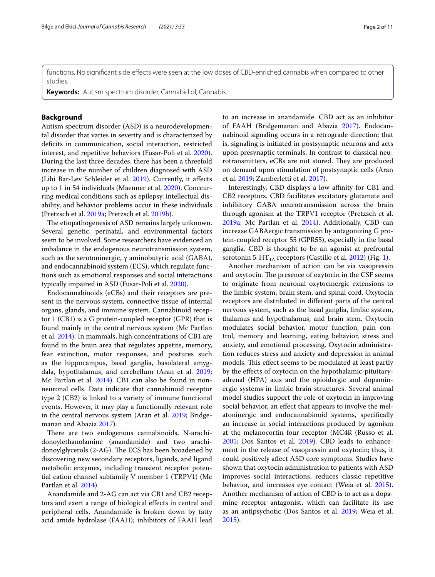functions. No signifcant side efects were seen at the low doses of CBD-enriched cannabis when compared to other studies.

**Keywords:** Autism spectrum disorder, Cannabidiol, Cannabis

#### **Background**

Autism spectrum disorder (ASD) is a neurodevelopmental disorder that varies in severity and is characterized by deficits in communication, social interaction, restricted interest, and repetitive behaviors (Fusar-Poli et al. [2020](#page-10-0)). During the last three decades, there has been a threefold increase in the number of children diagnosed with ASD (Lihi Bar-Lev Schleider et al. [2019\)](#page-10-1). Currently, it afects up to 1 in 54 individuals (Maenner et al. [2020\)](#page-10-2). Cooccurring medical conditions such as epilepsy, intellectual disability, and behavior problems occur in these individuals (Pretzsch et al. [2019a](#page-10-3); Pretzsch et al. [2019b\)](#page-10-4).

The etiopathogenesis of ASD remains largely unknown. Several genetic, perinatal, and environmental factors seem to be involved. Some researchers have evidenced an imbalance in the endogenous neurotransmission system, such as the serotoninergic, γ aminobutyric acid (GABA), and endocannabinoid system (ECS), which regulate functions such as emotional responses and social interactions typically impaired in ASD (Fusar-Poli et al. [2020\)](#page-10-0).

Endocannabinoids (eCBs) and their receptors are present in the nervous system, connective tissue of internal organs, glands, and immune system. Cannabinoid receptor 1 (CB1) is a G protein-coupled receptor (GPR) that is found mainly in the central nervous system (Mc Partlan et al. [2014\)](#page-10-5). In mammals, high concentrations of CB1 are found in the brain area that regulates appetite, memory, fear extinction, motor responses, and postures such as the hippocampus, basal ganglia, basolateral amygdala, hypothalamus, and cerebellum (Aran et al. [2019](#page-10-6); Mc Partlan et al. [2014\)](#page-10-5). CB1 can also be found in nonneuronal cells. Data indicate that cannabinoid receptor type 2 (CB2) is linked to a variety of immune functional events. However, it may play a functionally relevant role in the central nervous system (Aran et al. [2019;](#page-10-6) Bridgemanan and Abazia [2017\)](#page-10-7).

There are two endogenous cannabinoids, N-arachidonoylethanolamine (anandamide) and two arachidonoylglycerols (2-AG). The ECS has been broadened by discovering new secondary receptors, ligands, and ligand metabolic enzymes, including transient receptor potential cation channel subfamily V member 1 (TRPV1) (Mc Partlan et al. [2014\)](#page-10-5).

Anandamide and 2-AG can act via CB1 and CB2 receptors and exert a range of biological efects in central and peripheral cells. Anandamide is broken down by fatty acid amide hydrolase (FAAH); inhibitors of FAAH lead to an increase in anandamide. CBD act as an inhibitor of FAAH (Bridgemanan and Abazia [2017](#page-10-7)). Endocannabinoid signaling occurs in a retrograde direction; that is, signaling is initiated in postsynaptic neurons and acts upon presynaptic terminals. In contrast to classical neurotransmitters, eCBs are not stored. They are produced on demand upon stimulation of postsynaptic cells (Aran et al. [2019](#page-10-6); Zamberletti et al. [2017\)](#page-10-8).

Interestingly, CBD displays a low affinity for CB1 and CB2 receptors. CBD facilitates excitatory glutamate and inhibitory GABA neurotransmission across the brain through agonism at the TRPV1 receptor (Pretzsch et al. [2019a;](#page-10-3) Mc Partlan et al. [2014](#page-10-5)). Additionally, CBD can increase GABAergic transmission by antagonizing G protein-coupled receptor 55 (GPR55), especially in the basal ganglia. CBD is thought to be an agonist at prefrontal serotonin 5-HT<sub>1A</sub> receptors (Castillo et al. [2012](#page-10-9)) (Fig. [1\)](#page-2-0).

Another mechanism of action can be via vasopressin and oxytocin. The presence of oxytocin in the CSF seems to originate from neuronal oxytocinergic extensions to the limbic system, brain stem, and spinal cord. Oxytocin receptors are distributed in diferent parts of the central nervous system, such as the basal ganglia, limbic system, thalamus and hypothalamus, and brain stem. Oxytocin modulates social behavior, motor function, pain control, memory and learning, eating behavior, stress and anxiety, and emotional processing. Oxytocin administration reduces stress and anxiety and depression in animal models. This effect seems to be modulated at least partly by the efects of oxytocin on the hypothalamic-pituitaryadrenal (HPA) axis and the opioidergic and dopaminergic systems in limbic brain structures. Several animal model studies support the role of oxytocin in improving social behavior, an efect that appears to involve the melatoninergic and endocannabinoid systems, specifcally an increase in social interactions produced by agonism at the melanocortin four receptor (MC4R (Russo et al. [2005](#page-10-10); Dos Santos et al. [2019\)](#page-10-11). CBD leads to enhancement in the release of vasopressin and oxytocin; thus, it could positively afect ASD core symptoms. Studies have shown that oxytocin administration to patients with ASD improves social interactions, reduces classic repetitive behavior, and increases eye contact (Weia et al. [2015](#page-10-12)). Another mechanism of action of CBD is to act as a dopamine receptor antagonist, which can facilitate its use as an antipsychotic (Dos Santos et al. [2019](#page-10-11); Weia et al. [2015](#page-10-12)).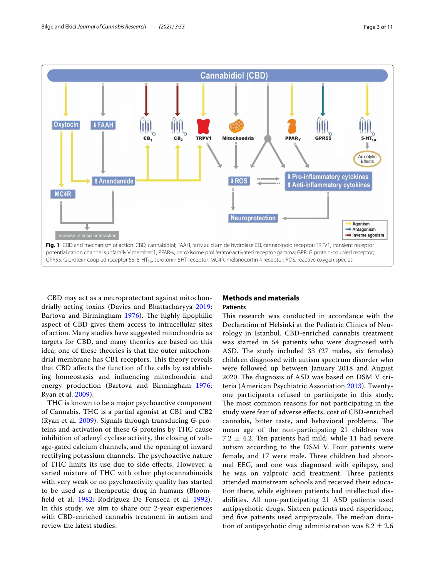

<span id="page-2-0"></span>CBD may act as a neuroprotectant against mitochondrially acting toxins (Davies and Bhattacharyya [2019](#page-10-13); Bartova and Birmingham [1976\)](#page-10-14). The highly lipophilic aspect of CBD gives them access to intracellular sites of action. Many studies have suggested mitochondria as targets for CBD, and many theories are based on this idea; one of these theories is that the outer mitochondrial membrane has CB1 receptors. This theory reveals that CBD afects the function of the cells by establishing homeostasis and infuencing mitochondria and energy production (Bartova and Birmingham [1976](#page-10-14); Ryan et al. [2009\)](#page-10-15).

THC is known to be a major psychoactive component of Cannabis. THC is a partial agonist at CB1 and CB2 (Ryan et al. [2009\)](#page-10-15). Signals through transducing G-proteins and activation of these G-proteins by THC cause inhibition of adenyl cyclase activity, the closing of voltage-gated calcium channels, and the opening of inward rectifying potassium channels. The psychoactive nature of THC limits its use due to side efects. However, a varied mixture of THC with other phytocannabinoids with very weak or no psychoactivity quality has started to be used as a therapeutic drug in humans (Bloomfeld et al. [1982](#page-10-16); Rodríguez De Fonseca et al. [1992\)](#page-10-17). In this study, we aim to share our 2-year experiences with CBD-enriched cannabis treatment in autism and review the latest studies.

#### **Methods and materials Patients**

This research was conducted in accordance with the Declaration of Helsinki at the Pediatric Clinics of Neurology in Istanbul. CBD-enriched cannabis treatment was started in 54 patients who were diagnosed with ASD. The study included 33 (27 males, six females) children diagnosed with autism spectrum disorder who were followed up between January 2018 and August 2020. The diagnosis of ASD was based on DSM V criteria (American Psychiatric Association [2013](#page-10-18)). Twentyone participants refused to participate in this study. The most common reasons for not participating in the study were fear of adverse efects, cost of CBD-enriched cannabis, bitter taste, and behavioral problems. The mean age of the non-participating 21 children was 7.2  $\pm$  4.2. Ten patients had mild, while 11 had severe autism according to the DSM V. Four patients were female, and 17 were male. Three children had abnormal EEG, and one was diagnosed with epilepsy, and he was on valproic acid treatment. Three patients attended mainstream schools and received their education there, while eighteen patients had intellectual disabilities. All non-participating 21 ASD patients used antipsychotic drugs. Sixteen patients used risperidone, and five patients used aripiprazole. The median duration of antipsychotic drug administration was  $8.2 \pm 2.6$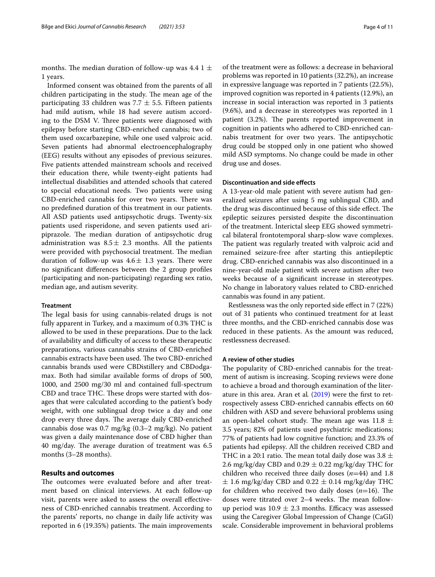months. The median duration of follow-up was 4.4 1  $\pm$ 1 years.

Informed consent was obtained from the parents of all children participating in the study. The mean age of the participating 33 children was 7.7  $\pm$  5.5. Fifteen patients had mild autism, while 18 had severe autism according to the DSM V. Three patients were diagnosed with epilepsy before starting CBD-enriched cannabis; two of them used oxcarbazepine, while one used valproic acid. Seven patients had abnormal electroencephalography (EEG) results without any episodes of previous seizures. Five patients attended mainstream schools and received their education there, while twenty-eight patients had intellectual disabilities and attended schools that catered to special educational needs. Two patients were using CBD-enriched cannabis for over two years. There was no predefned duration of this treatment in our patients. All ASD patients used antipsychotic drugs. Twenty-six patients used risperidone, and seven patients used aripiprazole. The median duration of antipsychotic drug administration was  $8.5 \pm 2.3$  months. All the patients were provided with psychosocial treatment. The median duration of follow-up was  $4.6 \pm 1.3$  years. There were no signifcant diferences between the 2 group profles (participating and non-participating) regarding sex ratio, median age, and autism severity.

#### **Treatment**

The legal basis for using cannabis-related drugs is not fully apparent in Turkey, and a maximum of 0.3% THC is allowed to be used in these preparations. Due to the lack of availability and difficulty of access to these therapeutic preparations, various cannabis strains of CBD-enriched cannabis extracts have been used. The two CBD-enriched cannabis brands used were CBDistillery and CBDodgamax. Both had similar available forms of drops of 500, 1000, and 2500 mg/30 ml and contained full-spectrum CBD and trace THC. These drops were started with dosages that were calculated according to the patient's body weight, with one sublingual drop twice a day and one drop every three days. The average daily CBD-enriched cannabis dose was 0.7 mg/kg (0.3–2 mg/kg). No patient was given a daily maintenance dose of CBD higher than 40 mg/day. The average duration of treatment was  $6.5$ months (3–28 months).

#### **Results and outcomes**

The outcomes were evaluated before and after treatment based on clinical interviews. At each follow-up visit, parents were asked to assess the overall efectiveness of CBD-enriched cannabis treatment. According to the parents' reports, no change in daily life activity was reported in  $6(19.35%)$  patients. The main improvements

of the treatment were as follows: a decrease in behavioral problems was reported in 10 patients (32.2%), an increase in expressive language was reported in 7 patients (22.5%), improved cognition was reported in 4 patients (12.9%), an increase in social interaction was reported in 3 patients (9.6%), and a decrease in stereotypes was reported in 1 patient (3.2%). The parents reported improvement in cognition in patients who adhered to CBD-enriched cannabis treatment for over two years. The antipsychotic drug could be stopped only in one patient who showed mild ASD symptoms. No change could be made in other drug use and doses.

#### **Discontinuation and side efects**

A 13-year-old male patient with severe autism had generalized seizures after using 5 mg sublingual CBD, and the drug was discontinued because of this side effect. The epileptic seizures persisted despite the discontinuation of the treatment. Interictal sleep EEG showed symmetrical bilateral frontotemporal sharp-slow wave complexes. The patient was regularly treated with valproic acid and remained seizure-free after starting this antiepileptic drug. CBD-enriched cannabis was also discontinued in a nine-year-old male patient with severe autism after two weeks because of a signifcant increase in stereotypes. No change in laboratory values related to CBD-enriched cannabis was found in any patient.

Restlessness was the only reported side efect in 7 (22%) out of 31 patients who continued treatment for at least three months, and the CBD-enriched cannabis dose was reduced in these patients. As the amount was reduced, restlessness decreased.

#### **A review of other studies**

The popularity of CBD-enriched cannabis for the treatment of autism is increasing. Scoping reviews were done to achieve a broad and thorough examination of the literature in this area. Aran et al*.* [\(2019](#page-10-6)) were the frst to retrospectively assess CBD-enriched cannabis efects on 60 children with ASD and severe behavioral problems using an open-label cohort study. The mean age was 11.8  $\pm$ 3.5 years; 82% of patients used psychiatric medications; 77% of patients had low cognitive function; and 23.3% of patients had epilepsy. All the children received CBD and THC in a 20:1 ratio. The mean total daily dose was 3.8  $\pm$ 2.6 mg/kg/day CBD and 0.29  $\pm$  0.22 mg/kg/day THC for children who received three daily doses (*n*=44) and 1.8  $\pm$  1.6 mg/kg/day CBD and 0.22  $\pm$  0.14 mg/kg/day THC for children who received two daily doses  $(n=16)$ . The doses were titrated over 2–4 weeks. The mean followup period was  $10.9 \pm 2.3$  months. Efficacy was assessed using the Caregiver Global Impression of Change (CaGI) scale. Considerable improvement in behavioral problems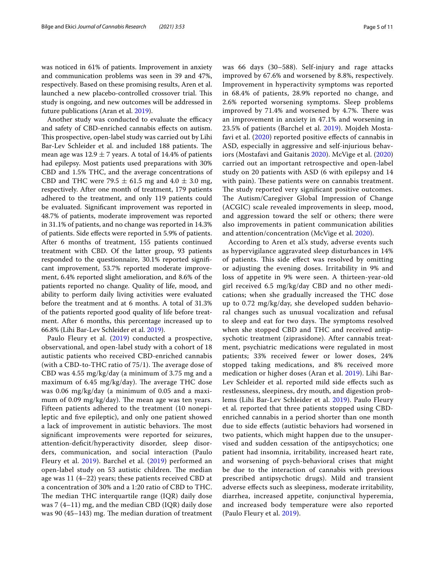was noticed in 61% of patients. Improvement in anxiety and communication problems was seen in 39 and 47%, respectively. Based on these promising results, Aren et al. launched a new placebo-controlled crossover trial. This study is ongoing, and new outcomes will be addressed in future publications (Aran et al. [2019\)](#page-10-6).

Another study was conducted to evaluate the efficacy and safety of CBD-enriched cannabis efects on autism. This prospective, open-label study was carried out by Lihi Bar-Lev Schleider et al. and included 188 patients. The mean age was  $12.9 \pm 7$  years. A total of 14.4% of patients had epilepsy. Most patients used preparations with 30% CBD and 1.5% THC, and the average concentrations of CBD and THC were 79.5  $\pm$  61.5 mg and 4.0  $\pm$  3.0 mg, respectively. After one month of treatment, 179 patients adhered to the treatment, and only 119 patients could be evaluated. Signifcant improvement was reported in 48.7% of patients, moderate improvement was reported in 31.1% of patients, and no change was reported in 14.3% of patients. Side efects were reported in 5.9% of patients. After 6 months of treatment, 155 patients continued treatment with CBD. Of the latter group, 93 patients responded to the questionnaire, 30.1% reported signifcant improvement, 53.7% reported moderate improvement, 6.4% reported slight amelioration, and 8.6% of the patients reported no change. Quality of life, mood, and ability to perform daily living activities were evaluated before the treatment and at 6 months. A total of 31.3% of the patients reported good quality of life before treatment. After 6 months, this percentage increased up to 66.8% (Lihi Bar-Lev Schleider et al. [2019\)](#page-10-1).

Paulo Fleury et al. ([2019](#page-10-19)) conducted a prospective, observational, and open-label study with a cohort of 18 autistic patients who received CBD-enriched cannabis (with a CBD-to-THC ratio of  $75/1$ ). The average dose of CBD was 4.55 mg/kg/day (a minimum of 3.75 mg and a maximum of  $6.45 \text{ mg/kg/day}$ . The average THC dose was 0.06 mg/kg/day (a minimum of 0.05 and a maximum of  $0.09 \text{ mg/kg/day}$ . The mean age was ten years. Fifteen patients adhered to the treatment (10 nonepileptic and fve epileptic), and only one patient showed a lack of improvement in autistic behaviors. The most signifcant improvements were reported for seizures, attention-defcit/hyperactivity disorder, sleep disorders, communication, and social interaction (Paulo Fleury et al. [2019](#page-10-19)). Barchel et al. ([2019](#page-10-20)) performed an open-label study on 53 autistic children. The median age was 11 (4–22) years; these patients received CBD at a concentration of 30% and a 1:20 ratio of CBD to THC. The median THC interquartile range  $(IQR)$  daily dose was 7 (4–11) mg, and the median CBD (IQR) daily dose was 90 (45–143) mg. The median duration of treatment was 66 days (30–588). Self-injury and rage attacks improved by 67.6% and worsened by 8.8%, respectively. Improvement in hyperactivity symptoms was reported in 68.4% of patients, 28.9% reported no change, and 2.6% reported worsening symptoms. Sleep problems improved by 71.4% and worsened by 4.7%. There was an improvement in anxiety in 47.1% and worsening in 23.5% of patients (Barchel et al. [2019\)](#page-10-20). Mojdeh Mostafavi et al. ([2020\)](#page-10-21) reported positive efects of cannabis in ASD, especially in aggressive and self-injurious behaviors (Mostafavi and Gaitanis [2020\)](#page-10-21). McVige et al. [\(2020](#page-10-22)) carried out an important retrospective and open-label study on 20 patients with ASD (6 with epilepsy and 14 with pain). These patients were on cannabis treatment. The study reported very significant positive outcomes. The Autism/Caregiver Global Impression of Change (ACGIC) scale revealed improvements in sleep, mood, and aggression toward the self or others; there were also improvements in patient communication abilities and attention/concentration (McVige et al. [2020\)](#page-10-22).

According to Aren et al.'s study, adverse events such as hypervigilance aggravated sleep disturbances in 14% of patients. This side effect was resolved by omitting or adjusting the evening doses. Irritability in 9% and loss of appetite in 9% were seen. A thirteen-year-old girl received 6.5 mg/kg/day CBD and no other medications; when she gradually increased the THC dose up to 0.72 mg/kg/day, she developed sudden behavioral changes such as unusual vocalization and refusal to sleep and eat for two days. The symptoms resolved when she stopped CBD and THC and received antipsychotic treatment (ziprasidone). After cannabis treatment, psychiatric medications were regulated in most patients; 33% received fewer or lower doses, 24% stopped taking medications, and 8% received more medication or higher doses (Aran et al. [2019\)](#page-10-6). Lihi Bar-Lev Schleider et al. reported mild side effects such as restlessness, sleepiness, dry mouth, and digestion problems (Lihi Bar-Lev Schleider et al. [2019\)](#page-10-1). Paulo Fleury et al*.* reported that three patients stopped using CBDenriched cannabis in a period shorter than one month due to side efects (autistic behaviors had worsened in two patients, which might happen due to the unsupervised and sudden cessation of the antipsychotics; one patient had insomnia, irritability, increased heart rate, and worsening of psych-behavioral crises that might be due to the interaction of cannabis with previous prescribed antipsychotic drugs). Mild and transient adverse efects such as sleepiness, moderate irritability, diarrhea, increased appetite, conjunctival hyperemia, and increased body temperature were also reported (Paulo Fleury et al. [2019](#page-10-19)).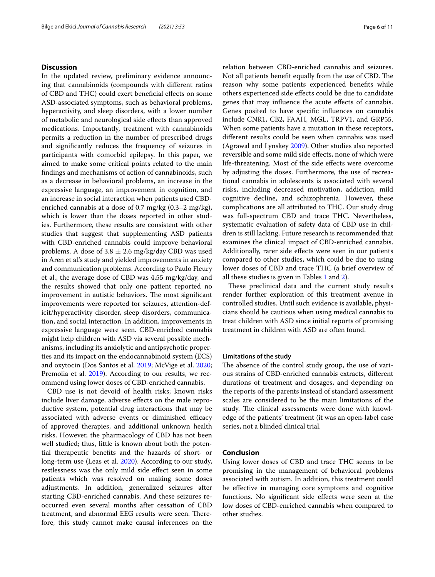#### **Discussion**

In the updated review, preliminary evidence announcing that cannabinoids (compounds with diferent ratios of CBD and THC) could exert benefcial efects on some ASD-associated symptoms, such as behavioral problems, hyperactivity, and sleep disorders, with a lower number of metabolic and neurological side efects than approved medications. Importantly, treatment with cannabinoids permits a reduction in the number of prescribed drugs and signifcantly reduces the frequency of seizures in participants with comorbid epilepsy. In this paper, we aimed to make some critical points related to the main fndings and mechanisms of action of cannabinoids, such as a decrease in behavioral problems, an increase in the expressive language, an improvement in cognition, and an increase in social interaction when patients used CBDenriched cannabis at a dose of 0.7 mg/kg (0.3–2 mg/kg), which is lower than the doses reported in other studies. Furthermore, these results are consistent with other studies that suggest that supplementing ASD patients with CBD-enriched cannabis could improve behavioral problems. A dose of  $3.8 \pm 2.6$  mg/kg/day CBD was used in Aren et al.'s study and yielded improvements in anxiety and communication problems. According to Paulo Fleury et al., the average dose of CBD was 4,55 mg/kg/day, and the results showed that only one patient reported no improvement in autistic behaviors. The most significant improvements were reported for seizures, attention-deficit/hyperactivity disorder, sleep disorders, communication, and social interaction. In addition, improvements in expressive language were seen. CBD-enriched cannabis might help children with ASD via several possible mechanisms, including its anxiolytic and antipsychotic properties and its impact on the endocannabinoid system (ECS) and oxytocin (Dos Santos et al. [2019](#page-10-11); McVige et al. [2020](#page-10-22); Premolia et al. [2019](#page-10-23)). According to our results, we recommend using lower doses of CBD-enriched cannabis.

CBD use is not devoid of health risks; known risks include liver damage, adverse effects on the male reproductive system, potential drug interactions that may be associated with adverse events or diminished efficacy of approved therapies, and additional unknown health risks. However, the pharmacology of CBD has not been well studied; thus, little is known about both the potential therapeutic benefts and the hazards of short- or long-term use (Leas et al. [2020\)](#page-10-24). According to our study, restlessness was the only mild side efect seen in some patients which was resolved on making some doses adjustments. In addition, generalized seizures after starting CBD-enriched cannabis. And these seizures reoccurred even several months after cessation of CBD treatment, and abnormal EEG results were seen. Therefore, this study cannot make causal inferences on the relation between CBD-enriched cannabis and seizures. Not all patients benefit equally from the use of CBD. The reason why some patients experienced benefts while others experienced side efects could be due to candidate genes that may infuence the acute efects of cannabis. Genes posited to have specifc infuences on cannabis include CNR1, CB2, FAAH, MGL, TRPV1, and GRP55. When some patients have a mutation in these receptors, diferent results could be seen when cannabis was used (Agrawal and Lynskey [2009\)](#page-10-25). Other studies also reported reversible and some mild side efects, none of which were life-threatening. Most of the side efects were overcome by adjusting the doses. Furthermore, the use of recreational cannabis in adolescents is associated with several risks, including decreased motivation, addiction, mild cognitive decline, and schizophrenia. However, these complications are all attributed to THC. Our study drug was full-spectrum CBD and trace THC. Nevertheless, systematic evaluation of safety data of CBD use in children is still lacking. Future research is recommended that examines the clinical impact of CBD-enriched cannabis. Additionally, rarer side effects were seen in our patients compared to other studies, which could be due to using lower doses of CBD and trace THC (a brief overview of all these studies is given in Tables [1](#page-6-0) and [2\)](#page-9-0).

These preclinical data and the current study results render further exploration of this treatment avenue in controlled studies. Until such evidence is available, physicians should be cautious when using medical cannabis to treat children with ASD since initial reports of promising treatment in children with ASD are often found.

#### **Limitations of the study**

The absence of the control study group, the use of various strains of CBD-enriched cannabis extracts, diferent durations of treatment and dosages, and depending on the reports of the parents instead of standard assessment scales are considered to be the main limitations of the study. The clinical assessments were done with knowledge of the patients' treatment (it was an open-label case series, not a blinded clinical trial.

#### **Conclusion**

Using lower doses of CBD and trace THC seems to be promising in the management of behavioral problems associated with autism. In addition, this treatment could be efective in managing core symptoms and cognitive functions. No signifcant side efects were seen at the low doses of CBD-enriched cannabis when compared to other studies.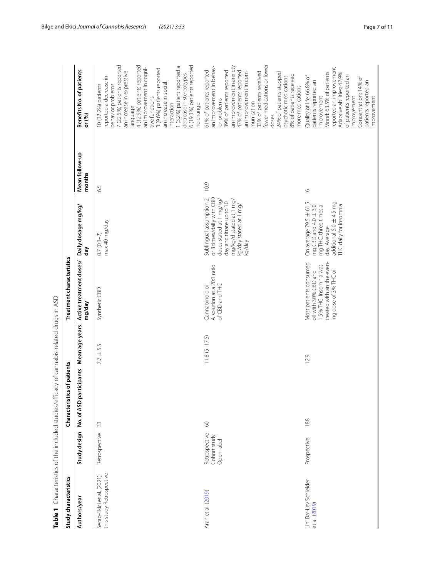<span id="page-6-0"></span>

| )<br>C<br>: Sun Sun China China China China China China China China China China China China China China China China China China China China China China China China China China China China China China China China China China China C<br>)<br>D<br>D<br>D<br>- בעל האיר או אירוער אירוער אירוער אירוער אירוער אירוער אירוער אירוער אירוער אירוער אירוער אירוער אירוער אירוע                                   |  |
|-----------------------------------------------------------------------------------------------------------------------------------------------------------------------------------------------------------------------------------------------------------------------------------------------------------------------------------------------------------------------------------------------------------------|--|
|                                                                                                                                                                                                                                                                                                                                                                                                                 |  |
|                                                                                                                                                                                                                                                                                                                                                                                                                 |  |
|                                                                                                                                                                                                                                                                                                                                                                                                                 |  |
|                                                                                                                                                                                                                                                                                                                                                                                                                 |  |
|                                                                                                                                                                                                                                                                                                                                                                                                                 |  |
| $\overline{D}$ ( $\overline{D}$ ) $\overline{D}$ ) $\overline{D}$ ) $\overline{D}$ ) $\overline{D}$ , $\overline{D}$ , $\overline{D}$ , $\overline{D}$ , $\overline{D}$ , $\overline{D}$ , $\overline{D}$ , $\overline{D}$ , $\overline{D}$ , $\overline{D}$ , $\overline{D}$ , $\overline{D}$ , $\overline{D}$ , $\overline{D}$ , $\overline{D}$ , $\$<br>ことにも てりてここりょう りよきすく りりこうこうきりょう<br>$\frac{1}{2}$<br>Ï |  |
|                                                                                                                                                                                                                                                                                                                                                                                                                 |  |
|                                                                                                                                                                                                                                                                                                                                                                                                                 |  |

|                                                        |                                             | Table 1 Characteristics of the included studies/efficacy of cannabis-related drugs in ASD |                   |                                                                                                                                 |                                                                                                                                                                             |                          |                                                                                                                                                                                                                                                                                                                                                                                                     |
|--------------------------------------------------------|---------------------------------------------|-------------------------------------------------------------------------------------------|-------------------|---------------------------------------------------------------------------------------------------------------------------------|-----------------------------------------------------------------------------------------------------------------------------------------------------------------------------|--------------------------|-----------------------------------------------------------------------------------------------------------------------------------------------------------------------------------------------------------------------------------------------------------------------------------------------------------------------------------------------------------------------------------------------------|
| Study characteristics                                  |                                             | of patients<br>Characteristics                                                            |                   | Treatment characteristics                                                                                                       |                                                                                                                                                                             |                          |                                                                                                                                                                                                                                                                                                                                                                                                     |
| Authors/year                                           | Study design                                | No. of ASD participants Mean age years                                                    |                   | Active treatment doses/<br>mg/day                                                                                               | Daily dosage mg/kg/<br>đay                                                                                                                                                  | Mean follow-up<br>months | Benefits No. of patients<br>or (%)                                                                                                                                                                                                                                                                                                                                                                  |
| this study Retrospective<br>Serap-Ekici et al. (2021), | Retrospective                               | 33                                                                                        | $7.7 \pm 5.5$     | Synthetic CBD                                                                                                                   | max 40 mg/day<br>$0.7(0.3-2)$                                                                                                                                               | 6.5                      | 4 (12.9%) patients reported<br>6 (19.3%) patients reported<br>7 (22.5%) patients reported<br>1 (3.2%) patient reported a<br>an improvement in cogni-<br>3 (9.6%) patients reported<br>an increase in expressive<br>decrease in stereotypes<br>reported a decrease in<br>an increase in social<br>behavior problems<br>10 (32.2%) patients<br>tive functions<br>no change<br>interaction<br>language |
| Aran et al. (2019)                                     | Retrospective<br>Cohort study<br>Open-label | 60                                                                                        | $11.8 (5 - 17.5)$ | A solution at a 20:1 ratio<br>Cannabinoid oil<br>of CBD and THC                                                                 | or 3 times/daily with CBD<br>Sublingual assumption 2<br>doses stated at 1 mg/kg/<br>mg/kg/d stated at 1 mg/<br>day and titrate up to 10<br>kg/day stated at 1 mg/<br>kg/day | 10.9                     | fewer medications or lower<br>an improvement in anxiety<br>an improvement in behav-<br>61% of patients reported<br>39% of patients reported<br>47% of patients reported<br>an improvement in com-<br>33% of patients received<br>24% of patients stopped<br>8% of patients received<br>psychotic medications<br>more medications<br>ior problems<br>munication<br>doses                             |
| Lihi Bar-Lev Schleider<br>et al. (2019)                | Prospective                                 | 188                                                                                       | 12.9              | treated with an the even-<br>Most patients consumed<br>1.5% THC. Insomnia was<br>ing dose of 3% THC oil<br>oil with 30% CBD and | On average 79.5 ± 61.5<br>additional 5.0 ± 4.5 mg<br>THC daily for insomnia<br>mg CBD and $4.0 \pm 3.0$<br>mg THC, three times a<br>day. Average                            | $\circ$                  | reported an improvement<br>Mood: 63.5% of patients<br>Adaptive abilities: 42.9%<br>of patients reported an<br>Quality of life: 66.8% of<br>Concentration: 14% of<br>patients reported an<br>patients reported an<br>improvement<br>improvement<br>improvement                                                                                                                                       |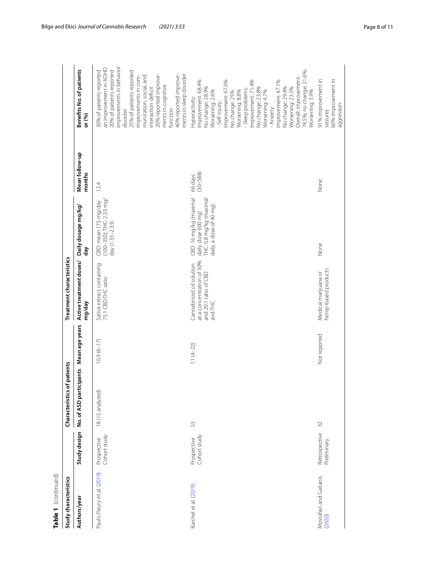| Table 1 (continued)              |                              |                                |                          |                                                                                          |                                                                                                     |                          |                                                                                                                                                                                                                                                                                                                                                                                                |
|----------------------------------|------------------------------|--------------------------------|--------------------------|------------------------------------------------------------------------------------------|-----------------------------------------------------------------------------------------------------|--------------------------|------------------------------------------------------------------------------------------------------------------------------------------------------------------------------------------------------------------------------------------------------------------------------------------------------------------------------------------------------------------------------------------------|
| Study characteristics            |                              | of patients<br>Characteristics |                          | Treatment characteristics                                                                |                                                                                                     |                          |                                                                                                                                                                                                                                                                                                                                                                                                |
| Authors/year                     | Study design                 | No. of ASD par                 | ticipants Mean age years | Active treatment doses/<br>mg/day                                                        | Daily dosage mg/kg/<br>day                                                                          | Mean follow-up<br>months | Benefits No. of patients<br>or (%)                                                                                                                                                                                                                                                                                                                                                             |
| Paulo Fleury et al. (2019)       | Cohort study<br>Prospective  | 18 (15 analyzed)               | $10.9(6 - 17)$           | Sativa extract containing<br>75:1 CBD:THC ratio                                          | $(100 - 350)$ ; THC: 2.33 mg/<br>CBD: mean 175 mg/day<br>day $(1.33 - 2.33)$                        | 12.4                     | improvements in behavior<br>an improvement in ADHD<br>20% of patients reported<br>30% of patients reported<br>25% of patients reported<br>20% reported improve-<br>40% reported improve-<br>ments in sleep disorder<br>munication, social, and<br>improvements in com-<br>ments in cognitive<br>interaction deficit<br>disorder<br>function                                                    |
| Barchel et al. (2019)            | Cohort study<br>Prospective  | 53                             | $11(4-22)$               | at a concentration of 30%<br>Cannabinoid oil solution<br>and 20:1 ratio of CBD<br>andTHC | CBD: 16 mg/kg (maximal<br>THC: 0.8 mg/kg (maximal<br>daily, a dose of 40 mg)<br>daily, dose 600 mg) | $(30 - 588)$<br>66 days  | 74.5%; no change: 21.6%;<br>Overall: improvement:<br>Improvement: 68.4%<br>Improvement: 67.6%<br>Improvement: 71.4%<br>Improvement: 47.1%<br>No change: 29.4%<br>No change: 28.9%<br>No change: 23.8%<br>Worsening: 23.5%<br>- Sleep problems:<br>Worsening: 2.6%<br>Worsening: 8.8%<br>Worsening: 4.7%<br>No change: 25%<br>Worsening: 3.9%<br>Hyperactivity:<br>- Self-injury:<br>- Anxiety: |
| Mostafavi and Gaitanis<br>(2020) | Retrospective<br>Preliminary | 32                             | Not reported             | hemp-based products<br>Medical marijuana or                                              | None                                                                                                | None                     | 91% improvement in<br>60% improvement in<br>aggression<br>seizures                                                                                                                                                                                                                                                                                                                             |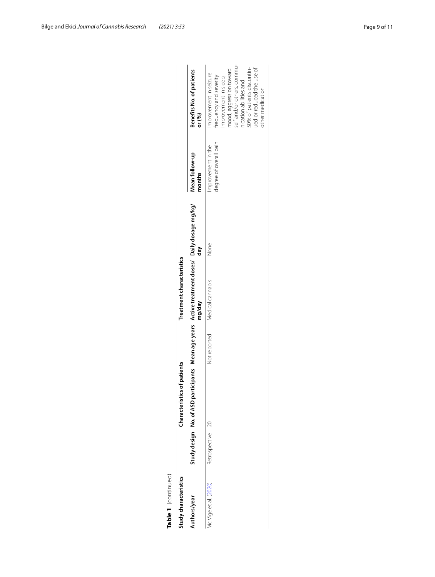| ŧ<br>c |
|--------|

| Table 1 (continued)   |                  |                                         |              |                                                                              |      |                                              |                                                                                                                                                                                                                                            |
|-----------------------|------------------|-----------------------------------------|--------------|------------------------------------------------------------------------------|------|----------------------------------------------|--------------------------------------------------------------------------------------------------------------------------------------------------------------------------------------------------------------------------------------------|
| Study characteristics |                  | <b>f</b> patients<br>Characteristics of |              | Treatment characteristics                                                    |      |                                              |                                                                                                                                                                                                                                            |
| Authors/year          |                  | Study design No. of ASD partion         |              | cipants Mean age years Active treatment doses/ Daily dosage mg/kg/<br>mg/day | day  | Mean follow-up<br>months                     | Benefits No. of patients<br>or (%)                                                                                                                                                                                                         |
| McVige et al. (2020)  | Retrospective 20 |                                         | Not reported | Medical cannabis                                                             | None | degree of overall pain<br>Improvement in the | self and/or others, commu-<br>50% of patients discontin-<br>ued or reduced the use of<br>mood, aggression toward<br>Improvement in seizure<br>frequency and severity<br>mprovement in sleep,<br>nication abilities and<br>other medication |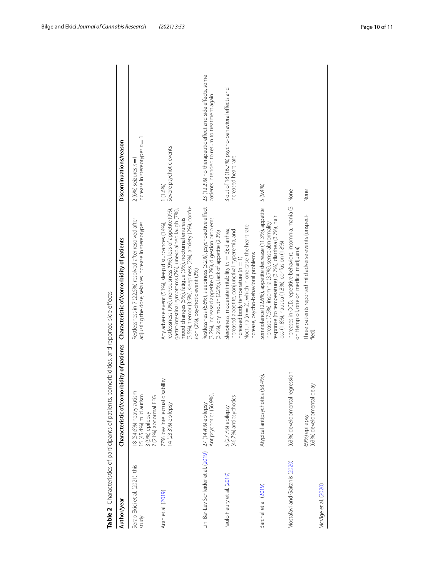<span id="page-9-0"></span>

| Author/year                                                                            | Characteristic of/comorbidity of patients                                                    | Characteristic of/comorbidity of patients                                                                                                                                                                                                                                                                                              | Discontinuations/reason                                                   |
|----------------------------------------------------------------------------------------|----------------------------------------------------------------------------------------------|----------------------------------------------------------------------------------------------------------------------------------------------------------------------------------------------------------------------------------------------------------------------------------------------------------------------------------------|---------------------------------------------------------------------------|
| Serap-Ekici et al. (2021), this<br>study                                               | 18 (54.6%) heavy autism<br>15 (45.4%) mild autism<br>7 (21%) abnormal EEG<br>3 (9%) epilepsy | Restlessness in 7 (22,5%) resolved after resolved after<br>adjusting the dose, seizures increase in stereotypes                                                                                                                                                                                                                        | Increase in stereotypes $n=1$<br>$2(6%)$ seizures $n=7$                   |
| Aran et al. (2019)                                                                     | 77% low intellectual disability<br>14 (23.3%) epilepsy                                       | (3.5%), tremor (3.5%), sleepiness (2%), anxiety (2%), confu-<br>restlessness (9%), nervousness (9%), loss of appetite (9%),<br>gastrointestinal symptoms (7%), unexplained laugh (7%),<br>mood changes (5%), fatique (5%), nocturnal enuresis<br>Any adverse event (51%), sleep disturbances (14%),<br>sion (2%), psychotic event (2%) | Severe psychotic events<br>1(1.6%)                                        |
| Lihi Bar-Lev Schleider et al. (2019)    27 (14.4%) epilepsy<br>Antipsychotics (56.9%), |                                                                                              | Restlessness (6.6%), sleepiness (3.2%), psychoactive effect 23 (12.2%) no therapeutic effect and side effects, some<br>(3.2%), increased appetite (3.2%), digestion problems<br>(3.2%), dry mouth (2.2%), lack of appetite (2.2%)                                                                                                      | patients intended to return to treatment again                            |
| Paulo Fleury et al. (2019)                                                             | 5 (27.7%) epilepsy<br>(46.7%) antipsychotics                                                 | Nocturia ( $n = 2$ ), which in one case, the heart rate<br>Sleepiness, moderate irritability (n = 3); diarrhea,<br>ncreased appetite, conjunctival hyperemia, and<br>increase, psycho-behavioral problems<br>increased body temperature $(n = 1)$                                                                                      | 3 out of 18 (16.7%) psycho-behavioral effects and<br>increased heart rate |
| Barchel et al. (2019)                                                                  | Atypical antipsychotics (58.4%),                                                             | Somnolence (22.6%), appetite decrease (11.3%), appetite<br>response (to temperature) (3.7%), diarrhea (3.7%), hair<br>increase (7.5%), insomnia (3.7%), sense abnormality<br>oss (1.8%), nausea (1.8%), confusion (1.8%)                                                                                                               | 5 (9.4%)                                                                  |
| Mostafavi and Gaitanis (2020)                                                          | (63%) developmental regression                                                               | Increases in OCD, repetitive behaviors, insomnia, mania (3<br>on Hemp oil, one on medical marijuana)                                                                                                                                                                                                                                   | None                                                                      |
| McVige et al. (2020)                                                                   | Κę<br>(63%) developmental del<br>69%) epilepsy                                               | Three patients reported mild adverse events (unspeci-<br>ted)                                                                                                                                                                                                                                                                          | None                                                                      |
|                                                                                        |                                                                                              |                                                                                                                                                                                                                                                                                                                                        |                                                                           |